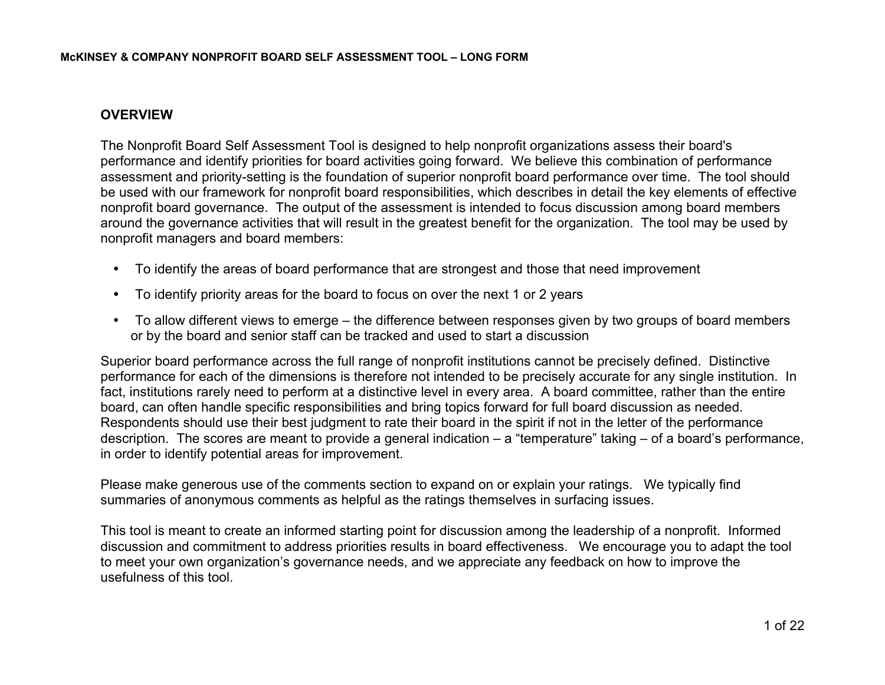# **OVERVIEW**

The Nonprofit Board Self Assessment Tool is designed to help nonprofit organizations assess their board's performance and identify priorities for board activities going forward. We believe this combination of performance assessment and priority-setting is the foundation of superior nonprofit board performance over time. The tool should be used with our framework for nonprofit board responsibilities, which describes in detail the key elements of effective nonprofit board governance. The output of the assessment is intended to focus discussion among board members around the governance activities that will result in the greatest benefit for the organization. The tool may be used by nonprofit managers and board members:

- To identify the areas of board performance that are strongest and those that need improvement
- To identify priority areas for the board to focus on over the next 1 or 2 years
- To allow different views to emerge the difference between responses given by two groups of board members or by the board and senior staff can be tracked and used to start a discussion

Superior board performance across the full range of nonprofit institutions cannot be precisely defined. Distinctive performance for each of the dimensions is therefore not intended to be precisely accurate for any single institution. In fact, institutions rarely need to perform at a distinctive level in every area. A board committee, rather than the entire board, can often handle specific responsibilities and bring topics forward for full board discussion as needed. Respondents should use their best judgment to rate their board in the spirit if not in the letter of the performance description. The scores are meant to provide a general indication – a "temperature" taking – of a board's performance, in order to identify potential areas for improvement.

Please make generous use of the comments section to expand on or explain your ratings. We typically find summaries of anonymous comments as helpful as the ratings themselves in surfacing issues.

This tool is meant to create an informed starting point for discussion among the leadership of a nonprofit. Informed discussion and commitment to address priorities results in board effectiveness. We encourage you to adapt the tool to meet your own organization's governance needs, and we appreciate any feedback on how to improve the usefulness of this tool.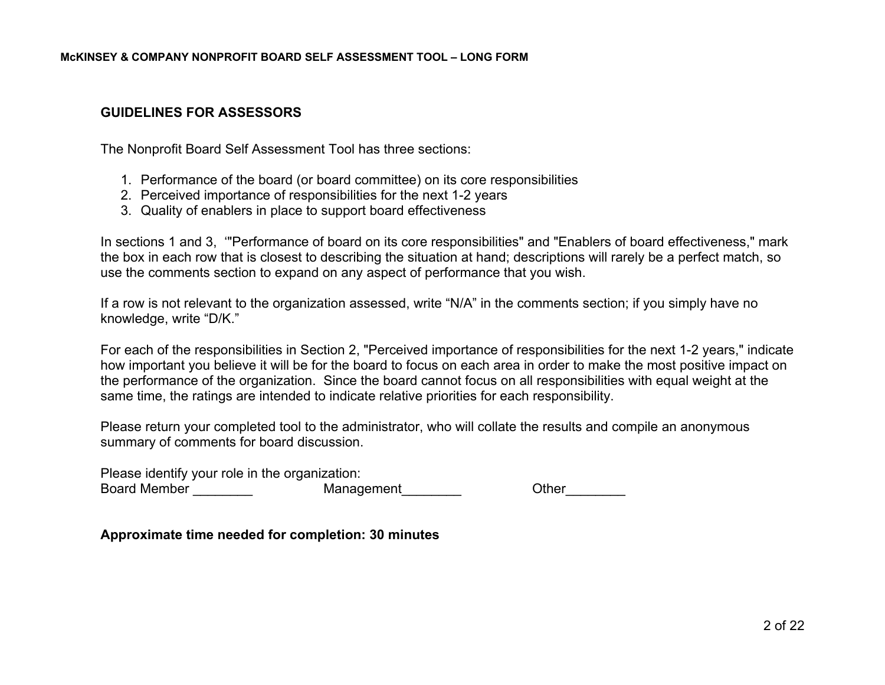#### **GUIDELINES FOR ASSESSORS**

The Nonprofit Board Self Assessment Tool has three sections:

- 1. Performance of the board (or board committee) on its core responsibilities
- 2. Perceived importance of responsibilities for the next 1-2 years
- 3. Quality of enablers in place to support board effectiveness

In sections 1 and 3, "Performance of board on its core responsibilities" and "Enablers of board effectiveness," mark the box in each row that is closest to describing the situation at hand; descriptions will rarely be a perfect match, so use the comments section to expand on any aspect of performance that you wish.

If a row is not relevant to the organization assessed, write "N/A" in the comments section; if you simply have no knowledge, write "D/K."

For each of the responsibilities in Section 2, "Perceived importance of responsibilities for the next 1-2 years," indicate how important you believe it will be for the board to focus on each area in order to make the most positive impact on the performance of the organization. Since the board cannot focus on all responsibilities with equal weight at the same time, the ratings are intended to indicate relative priorities for each responsibility.

Please return your completed tool to the administrator, who will collate the results and compile an anonymous summary of comments for board discussion.

Please identify your role in the organization: Board Member \_\_\_\_\_\_\_\_\_\_\_ Management \_\_\_\_\_\_\_ Other

**Approximate time needed for completion: 30 minutes**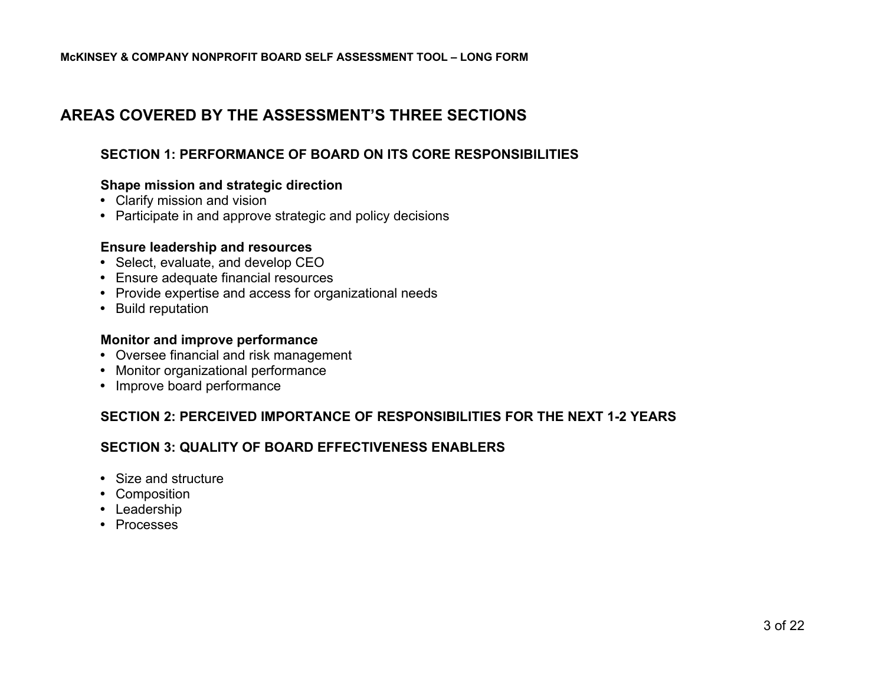# **AREAS COVERED BY THE ASSESSMENT'S THREE SECTIONS**

## **SECTION 1: PERFORMANCE OF BOARD ON ITS CORE RESPONSIBILITIES**

#### **Shape mission and strategic direction**

- Clarify mission and vision
- Participate in and approve strategic and policy decisions

#### **Ensure leadership and resources**

- Select, evaluate, and develop CEO
- Ensure adequate financial resources
- Provide expertise and access for organizational needs
- Build reputation

#### **Monitor and improve performance**

- Oversee financial and risk management
- Monitor organizational performance
- Improve board performance

## **SECTION 2: PERCEIVED IMPORTANCE OF RESPONSIBILITIES FOR THE NEXT 1-2 YEARS**

## **SECTION 3: QUALITY OF BOARD EFFECTIVENESS ENABLERS**

- Size and structure
- Composition
- Leadership
- Processes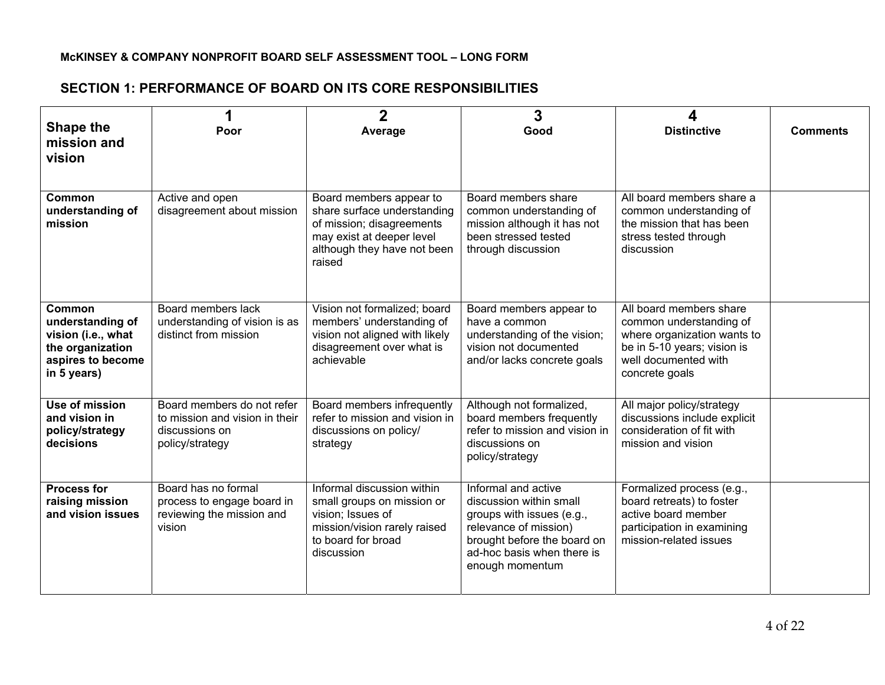| Shape the<br>mission and<br>vision                                                                       | 1<br>Poor                                                                                         | $\overline{2}$<br>Average                                                                                                                                 | $\mathbf{3}$<br>Good                                                                                                                                                                 | 4<br><b>Distinctive</b>                                                                                                                                    | <b>Comments</b> |
|----------------------------------------------------------------------------------------------------------|---------------------------------------------------------------------------------------------------|-----------------------------------------------------------------------------------------------------------------------------------------------------------|--------------------------------------------------------------------------------------------------------------------------------------------------------------------------------------|------------------------------------------------------------------------------------------------------------------------------------------------------------|-----------------|
| Common<br>understanding of<br>mission                                                                    | Active and open<br>disagreement about mission                                                     | Board members appear to<br>share surface understanding<br>of mission; disagreements<br>may exist at deeper level<br>although they have not been<br>raised | Board members share<br>common understanding of<br>mission although it has not<br>been stressed tested<br>through discussion                                                          | All board members share a<br>common understanding of<br>the mission that has been<br>stress tested through<br>discussion                                   |                 |
| Common<br>understanding of<br>vision (i.e., what<br>the organization<br>aspires to become<br>in 5 years) | Board members lack<br>understanding of vision is as<br>distinct from mission                      | Vision not formalized; board<br>members' understanding of<br>vision not aligned with likely<br>disagreement over what is<br>achievable                    | Board members appear to<br>have a common<br>understanding of the vision;<br>vision not documented<br>and/or lacks concrete goals                                                     | All board members share<br>common understanding of<br>where organization wants to<br>be in 5-10 years; vision is<br>well documented with<br>concrete goals |                 |
| Use of mission<br>and vision in<br>policy/strategy<br>decisions                                          | Board members do not refer<br>to mission and vision in their<br>discussions on<br>policy/strategy | Board members infrequently<br>refer to mission and vision in<br>discussions on policy/<br>strategy                                                        | Although not formalized,<br>board members frequently<br>refer to mission and vision in<br>discussions on<br>policy/strategy                                                          | All major policy/strategy<br>discussions include explicit<br>consideration of fit with<br>mission and vision                                               |                 |
| <b>Process for</b><br>raising mission<br>and vision issues                                               | Board has no formal<br>process to engage board in<br>reviewing the mission and<br>vision          | Informal discussion within<br>small groups on mission or<br>vision; Issues of<br>mission/vision rarely raised<br>to board for broad<br>discussion         | Informal and active<br>discussion within small<br>groups with issues (e.g.,<br>relevance of mission)<br>brought before the board on<br>ad-hoc basis when there is<br>enough momentum | Formalized process (e.g.,<br>board retreats) to foster<br>active board member<br>participation in examining<br>mission-related issues                      |                 |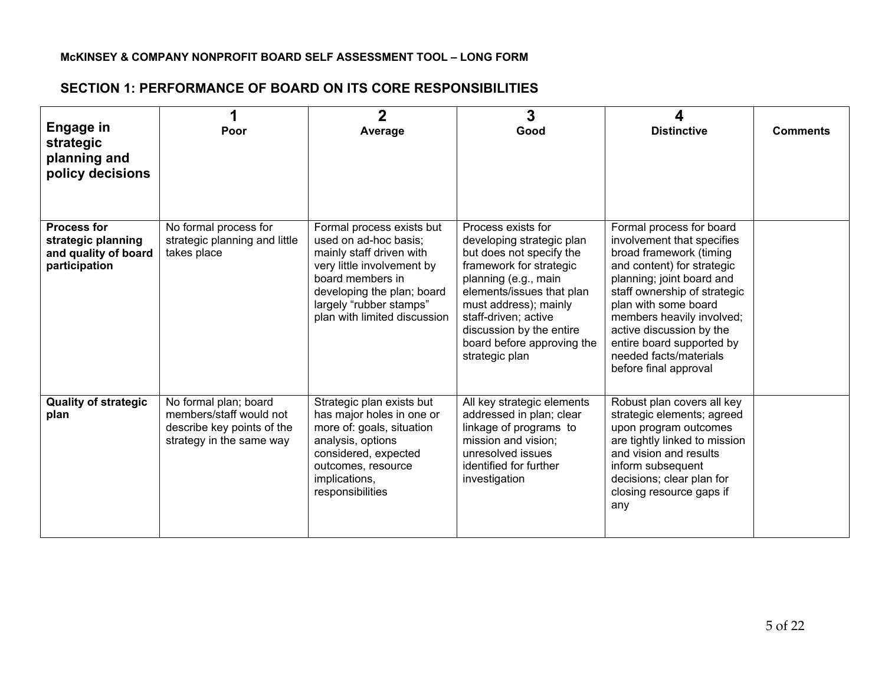| <b>Engage in</b><br>strategic<br>planning and<br>policy decisions                 | Poor                                                                                                       | $\overline{2}$<br>Average                                                                                                                                                                                                 | 3<br>Good                                                                                                                                                                                                                                                                                | <b>Distinctive</b>                                                                                                                                                                                                                                                                                                                            | <b>Comments</b> |
|-----------------------------------------------------------------------------------|------------------------------------------------------------------------------------------------------------|---------------------------------------------------------------------------------------------------------------------------------------------------------------------------------------------------------------------------|------------------------------------------------------------------------------------------------------------------------------------------------------------------------------------------------------------------------------------------------------------------------------------------|-----------------------------------------------------------------------------------------------------------------------------------------------------------------------------------------------------------------------------------------------------------------------------------------------------------------------------------------------|-----------------|
| <b>Process for</b><br>strategic planning<br>and quality of board<br>participation | No formal process for<br>strategic planning and little<br>takes place                                      | Formal process exists but<br>used on ad-hoc basis;<br>mainly staff driven with<br>very little involvement by<br>board members in<br>developing the plan; board<br>largely "rubber stamps"<br>plan with limited discussion | Process exists for<br>developing strategic plan<br>but does not specify the<br>framework for strategic<br>planning (e.g., main<br>elements/issues that plan<br>must address); mainly<br>staff-driven; active<br>discussion by the entire<br>board before approving the<br>strategic plan | Formal process for board<br>involvement that specifies<br>broad framework (timing<br>and content) for strategic<br>planning; joint board and<br>staff ownership of strategic<br>plan with some board<br>members heavily involved;<br>active discussion by the<br>entire board supported by<br>needed facts/materials<br>before final approval |                 |
| <b>Quality of strategic</b><br>plan                                               | No formal plan; board<br>members/staff would not<br>describe key points of the<br>strategy in the same way | Strategic plan exists but<br>has major holes in one or<br>more of: goals, situation<br>analysis, options<br>considered, expected<br>outcomes, resource<br>implications,<br>responsibilities                               | All key strategic elements<br>addressed in plan; clear<br>linkage of programs to<br>mission and vision;<br>unresolved issues<br>identified for further<br>investigation                                                                                                                  | Robust plan covers all key<br>strategic elements; agreed<br>upon program outcomes<br>are tightly linked to mission<br>and vision and results<br>inform subsequent<br>decisions; clear plan for<br>closing resource gaps if<br>any                                                                                                             |                 |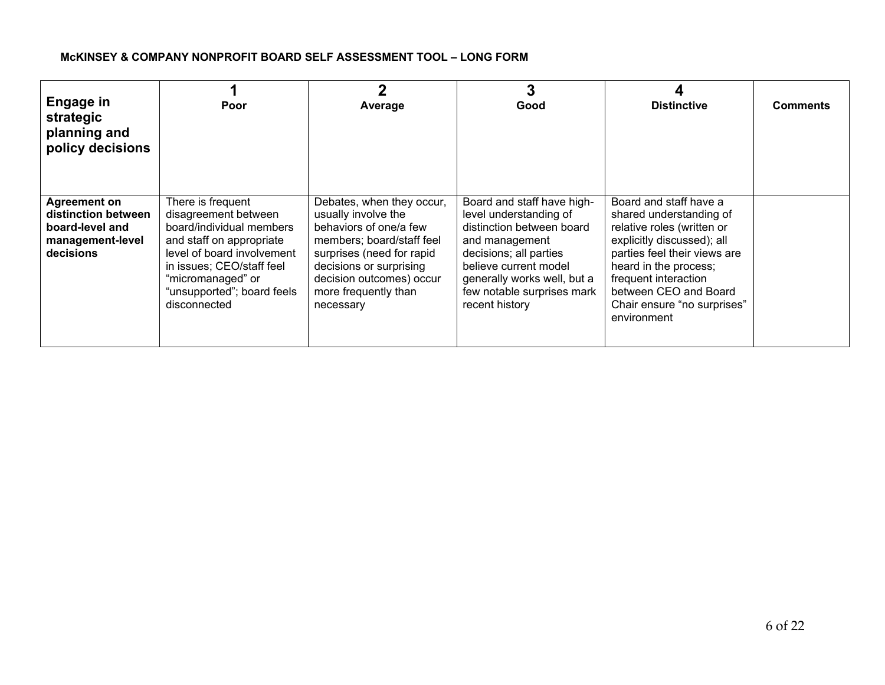| Engage in<br>strategic<br>planning and<br>policy decisions                                     | Poor                                                                                                                                                                                                                            | 2<br>Average                                                                                                                                                                                                                     | Good                                                                                                                                                                                                                                  | <b>Distinctive</b>                                                                                                                                                                                                                                                    | <b>Comments</b> |
|------------------------------------------------------------------------------------------------|---------------------------------------------------------------------------------------------------------------------------------------------------------------------------------------------------------------------------------|----------------------------------------------------------------------------------------------------------------------------------------------------------------------------------------------------------------------------------|---------------------------------------------------------------------------------------------------------------------------------------------------------------------------------------------------------------------------------------|-----------------------------------------------------------------------------------------------------------------------------------------------------------------------------------------------------------------------------------------------------------------------|-----------------|
| <b>Agreement on</b><br>distinction between<br>board-level and<br>management-level<br>decisions | There is frequent<br>disagreement between<br>board/individual members<br>and staff on appropriate<br>level of board involvement<br>in issues; CEO/staff feel<br>"micromanaged" or<br>"unsupported"; board feels<br>disconnected | Debates, when they occur,<br>usually involve the<br>behaviors of one/a few<br>members; board/staff feel<br>surprises (need for rapid<br>decisions or surprising<br>decision outcomes) occur<br>more frequently than<br>necessary | Board and staff have high-<br>level understanding of<br>distinction between board<br>and management<br>decisions; all parties<br>believe current model<br>generally works well, but a<br>few notable surprises mark<br>recent history | Board and staff have a<br>shared understanding of<br>relative roles (written or<br>explicitly discussed); all<br>parties feel their views are<br>heard in the process;<br>frequent interaction<br>between CEO and Board<br>Chair ensure "no surprises"<br>environment |                 |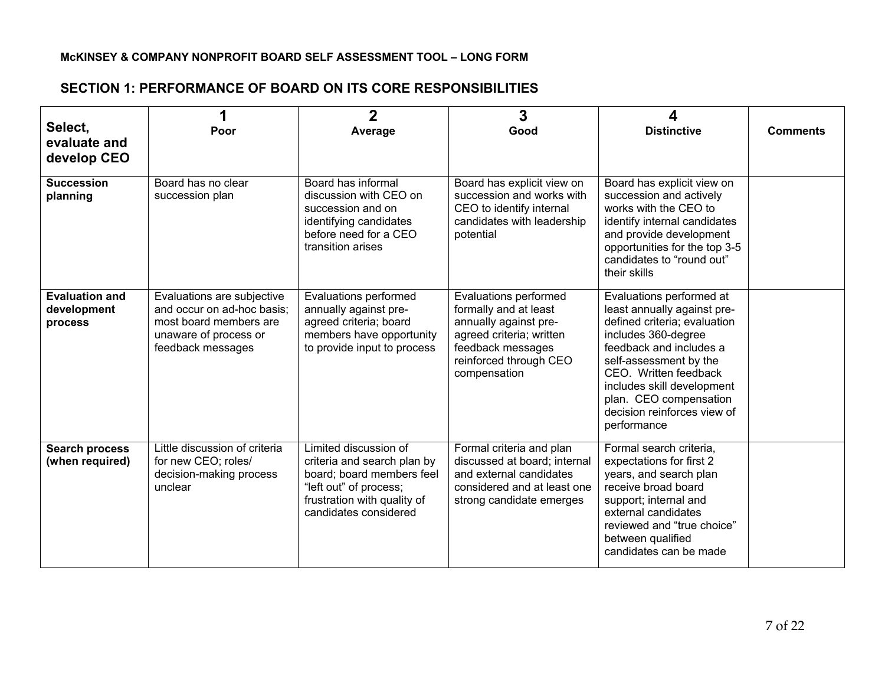| Select,<br>evaluate and<br>develop CEO          | Poor                                                                                                                             | $\overline{2}$<br>Average                                                                                                                                           | 3<br>Good                                                                                                                                                          | <b>Distinctive</b>                                                                                                                                                                                                                                                                                 | <b>Comments</b> |
|-------------------------------------------------|----------------------------------------------------------------------------------------------------------------------------------|---------------------------------------------------------------------------------------------------------------------------------------------------------------------|--------------------------------------------------------------------------------------------------------------------------------------------------------------------|----------------------------------------------------------------------------------------------------------------------------------------------------------------------------------------------------------------------------------------------------------------------------------------------------|-----------------|
| <b>Succession</b><br>planning                   | Board has no clear<br>succession plan                                                                                            | Board has informal<br>discussion with CEO on<br>succession and on<br>identifying candidates<br>before need for a CEO<br>transition arises                           | Board has explicit view on<br>succession and works with<br>CEO to identify internal<br>candidates with leadership<br>potential                                     | Board has explicit view on<br>succession and actively<br>works with the CEO to<br>identify internal candidates<br>and provide development<br>opportunities for the top 3-5<br>candidates to "round out"<br>their skills                                                                            |                 |
| <b>Evaluation and</b><br>development<br>process | Evaluations are subjective<br>and occur on ad-hoc basis;<br>most board members are<br>unaware of process or<br>feedback messages | Evaluations performed<br>annually against pre-<br>agreed criteria; board<br>members have opportunity<br>to provide input to process                                 | Evaluations performed<br>formally and at least<br>annually against pre-<br>agreed criteria; written<br>feedback messages<br>reinforced through CEO<br>compensation | Evaluations performed at<br>least annually against pre-<br>defined criteria; evaluation<br>includes 360-degree<br>feedback and includes a<br>self-assessment by the<br>CEO. Written feedback<br>includes skill development<br>plan. CEO compensation<br>decision reinforces view of<br>performance |                 |
| <b>Search process</b><br>(when required)        | Little discussion of criteria<br>for new CEO; roles/<br>decision-making process<br>unclear                                       | Limited discussion of<br>criteria and search plan by<br>board; board members feel<br>"left out" of process;<br>frustration with quality of<br>candidates considered | Formal criteria and plan<br>discussed at board; internal<br>and external candidates<br>considered and at least one<br>strong candidate emerges                     | Formal search criteria,<br>expectations for first 2<br>years, and search plan<br>receive broad board<br>support; internal and<br>external candidates<br>reviewed and "true choice"<br>between qualified<br>candidates can be made                                                                  |                 |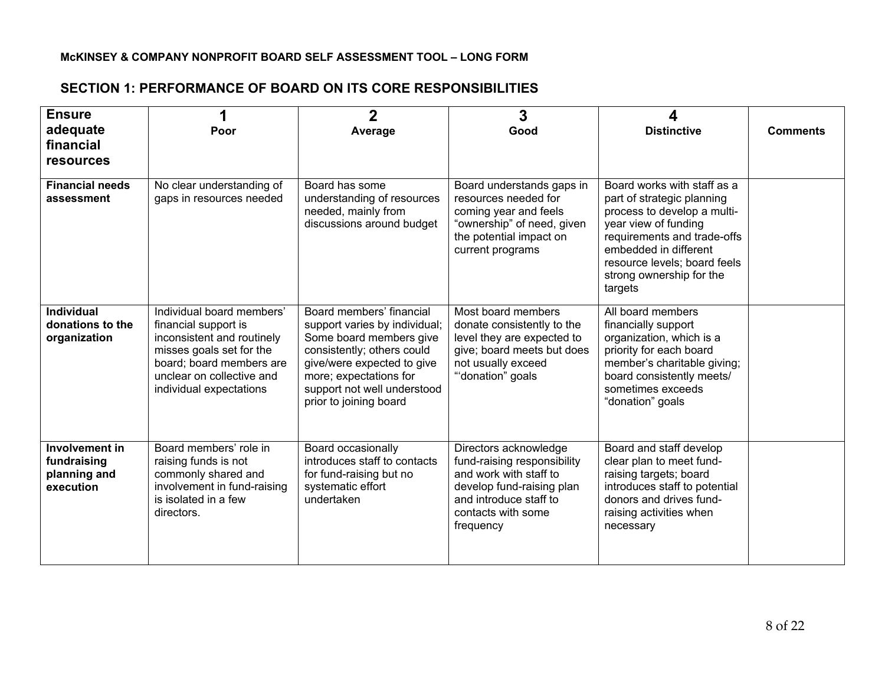| <b>Ensure</b><br>adequate<br>financial<br><b>resources</b> | Poor                                                                                                                                                                                            | $\overline{2}$<br>Average                                                                                                                                                                                                           | 3<br>Good                                                                                                                                                                | <b>Distinctive</b>                                                                                                                                                                                                                              | <b>Comments</b> |
|------------------------------------------------------------|-------------------------------------------------------------------------------------------------------------------------------------------------------------------------------------------------|-------------------------------------------------------------------------------------------------------------------------------------------------------------------------------------------------------------------------------------|--------------------------------------------------------------------------------------------------------------------------------------------------------------------------|-------------------------------------------------------------------------------------------------------------------------------------------------------------------------------------------------------------------------------------------------|-----------------|
| <b>Financial needs</b><br>assessment                       | No clear understanding of<br>gaps in resources needed                                                                                                                                           | Board has some<br>understanding of resources<br>needed, mainly from<br>discussions around budget                                                                                                                                    | Board understands gaps in<br>resources needed for<br>coming year and feels<br>"ownership" of need, given<br>the potential impact on<br>current programs                  | Board works with staff as a<br>part of strategic planning<br>process to develop a multi-<br>year view of funding<br>requirements and trade-offs<br>embedded in different<br>resource levels; board feels<br>strong ownership for the<br>targets |                 |
| <b>Individual</b><br>donations to the<br>organization      | Individual board members'<br>financial support is<br>inconsistent and routinely<br>misses goals set for the<br>board; board members are<br>unclear on collective and<br>individual expectations | Board members' financial<br>support varies by individual;<br>Some board members give<br>consistently; others could<br>give/were expected to give<br>more; expectations for<br>support not well understood<br>prior to joining board | Most board members<br>donate consistently to the<br>level they are expected to<br>give; board meets but does<br>not usually exceed<br>"donation" goals                   | All board members<br>financially support<br>organization, which is a<br>priority for each board<br>member's charitable giving;<br>board consistently meets/<br>sometimes exceeds<br>"donation" goals                                            |                 |
| Involvement in<br>fundraising<br>planning and<br>execution | Board members' role in<br>raising funds is not<br>commonly shared and<br>involvement in fund-raising<br>is isolated in a few<br>directors.                                                      | Board occasionally<br>introduces staff to contacts<br>for fund-raising but no<br>systematic effort<br>undertaken                                                                                                                    | Directors acknowledge<br>fund-raising responsibility<br>and work with staff to<br>develop fund-raising plan<br>and introduce staff to<br>contacts with some<br>frequency | Board and staff develop<br>clear plan to meet fund-<br>raising targets; board<br>introduces staff to potential<br>donors and drives fund-<br>raising activities when<br>necessary                                                               |                 |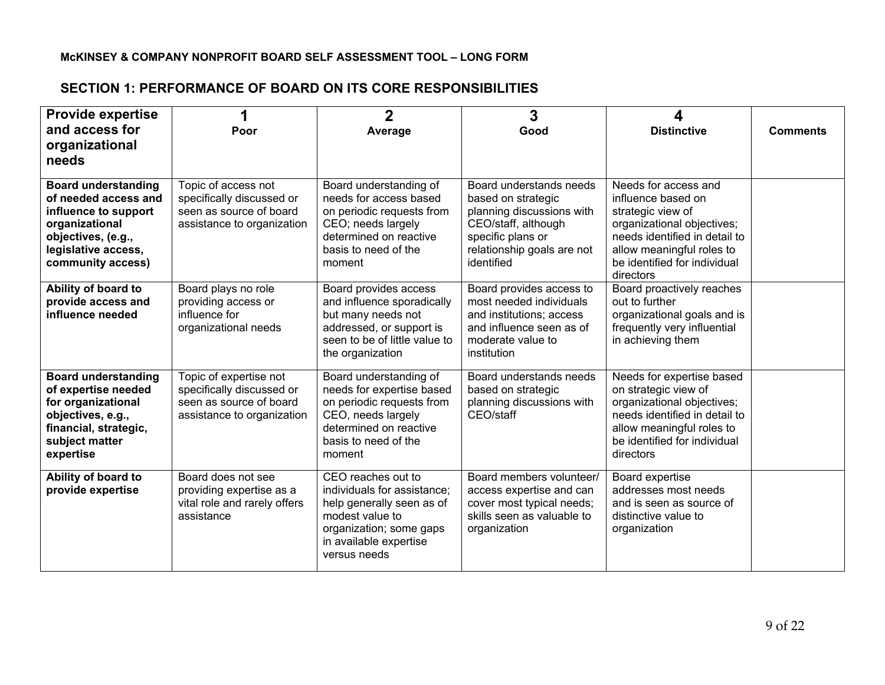| Provide expertise<br>and access for<br>organizational<br>needs                                                                                                 | Poor                                                                                                         | $\overline{2}$<br>Average                                                                                                                                              | 3<br>Good                                                                                                                                                          | <b>Distinctive</b>                                                                                                                                                                                       | <b>Comments</b> |
|----------------------------------------------------------------------------------------------------------------------------------------------------------------|--------------------------------------------------------------------------------------------------------------|------------------------------------------------------------------------------------------------------------------------------------------------------------------------|--------------------------------------------------------------------------------------------------------------------------------------------------------------------|----------------------------------------------------------------------------------------------------------------------------------------------------------------------------------------------------------|-----------------|
| <b>Board understanding</b><br>of needed access and<br>influence to support<br>organizational<br>objectives, (e.g.,<br>legislative access,<br>community access) | Topic of access not<br>specifically discussed or<br>seen as source of board<br>assistance to organization    | Board understanding of<br>needs for access based<br>on periodic requests from<br>CEO; needs largely<br>determined on reactive<br>basis to need of the<br>moment        | Board understands needs<br>based on strategic<br>planning discussions with<br>CEO/staff, although<br>specific plans or<br>relationship goals are not<br>identified | Needs for access and<br>influence based on<br>strategic view of<br>organizational objectives;<br>needs identified in detail to<br>allow meaningful roles to<br>be identified for individual<br>directors |                 |
| Ability of board to<br>provide access and<br>influence needed                                                                                                  | Board plays no role<br>providing access or<br>influence for<br>organizational needs                          | Board provides access<br>and influence sporadically<br>but many needs not<br>addressed, or support is<br>seen to be of little value to<br>the organization             | Board provides access to<br>most needed individuals<br>and institutions; access<br>and influence seen as of<br>moderate value to<br>institution                    | Board proactively reaches<br>out to further<br>organizational goals and is<br>frequently very influential<br>in achieving them                                                                           |                 |
| <b>Board understanding</b><br>of expertise needed<br>for organizational<br>objectives, e.g.,<br>financial, strategic,<br>subject matter<br>expertise           | Topic of expertise not<br>specifically discussed or<br>seen as source of board<br>assistance to organization | Board understanding of<br>needs for expertise based<br>on periodic requests from<br>CEO, needs largely<br>determined on reactive<br>basis to need of the<br>moment     | Board understands needs<br>based on strategic<br>planning discussions with<br>CEO/staff                                                                            | Needs for expertise based<br>on strategic view of<br>organizational objectives;<br>needs identified in detail to<br>allow meaningful roles to<br>be identified for individual<br>directors               |                 |
| Ability of board to<br>provide expertise                                                                                                                       | Board does not see<br>providing expertise as a<br>vital role and rarely offers<br>assistance                 | CEO reaches out to<br>individuals for assistance:<br>help generally seen as of<br>modest value to<br>organization; some gaps<br>in available expertise<br>versus needs | Board members volunteer/<br>access expertise and can<br>cover most typical needs;<br>skills seen as valuable to<br>organization                                    | Board expertise<br>addresses most needs<br>and is seen as source of<br>distinctive value to<br>organization                                                                                              |                 |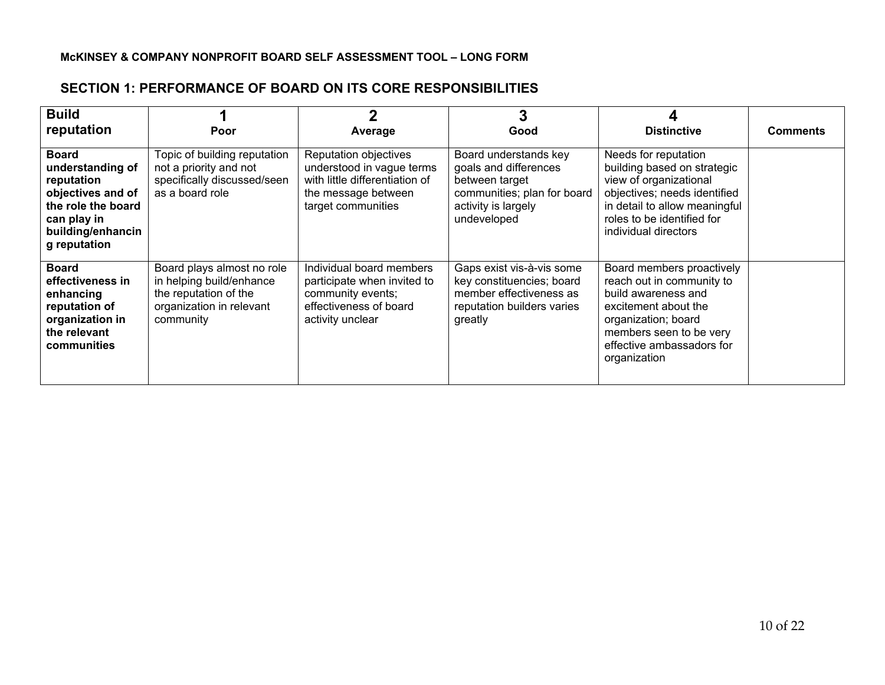| <b>Build</b><br>reputation                                                                                                                    | Poor                                                                                                                     | 2<br>Average                                                                                                                      | Good                                                                                                                                  | <b>Distinctive</b>                                                                                                                                                                                   | <b>Comments</b> |
|-----------------------------------------------------------------------------------------------------------------------------------------------|--------------------------------------------------------------------------------------------------------------------------|-----------------------------------------------------------------------------------------------------------------------------------|---------------------------------------------------------------------------------------------------------------------------------------|------------------------------------------------------------------------------------------------------------------------------------------------------------------------------------------------------|-----------------|
| <b>Board</b><br>understanding of<br>reputation<br>objectives and of<br>the role the board<br>can play in<br>building/enhancin<br>g reputation | Topic of building reputation<br>not a priority and not<br>specifically discussed/seen<br>as a board role                 | Reputation objectives<br>understood in vague terms<br>with little differentiation of<br>the message between<br>target communities | Board understands key<br>goals and differences<br>between target<br>communities; plan for board<br>activity is largely<br>undeveloped | Needs for reputation<br>building based on strategic<br>view of organizational<br>objectives; needs identified<br>in detail to allow meaningful<br>roles to be identified for<br>individual directors |                 |
| <b>Board</b><br>effectiveness in<br>enhancing<br>reputation of<br>organization in<br>the relevant<br>communities                              | Board plays almost no role<br>in helping build/enhance<br>the reputation of the<br>organization in relevant<br>community | Individual board members<br>participate when invited to<br>community events;<br>effectiveness of board<br>activity unclear        | Gaps exist vis-à-vis some<br>key constituencies; board<br>member effectiveness as<br>reputation builders varies<br>greatly            | Board members proactively<br>reach out in community to<br>build awareness and<br>excitement about the<br>organization; board<br>members seen to be very<br>effective ambassadors for<br>organization |                 |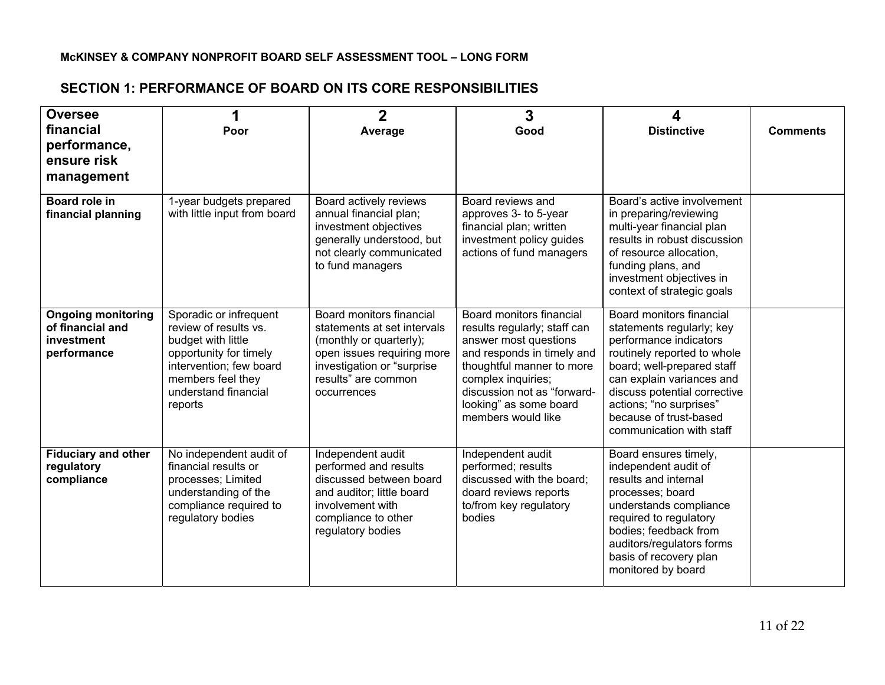| <b>Oversee</b><br>financial<br>performance,<br>ensure risk<br>management   | Poor                                                                                                                                                                               | $\overline{2}$<br>Average                                                                                                                                                            | 3<br>Good                                                                                                                                                                                                                                         | 4<br><b>Distinctive</b>                                                                                                                                                                                                                                                                    | <b>Comments</b> |
|----------------------------------------------------------------------------|------------------------------------------------------------------------------------------------------------------------------------------------------------------------------------|--------------------------------------------------------------------------------------------------------------------------------------------------------------------------------------|---------------------------------------------------------------------------------------------------------------------------------------------------------------------------------------------------------------------------------------------------|--------------------------------------------------------------------------------------------------------------------------------------------------------------------------------------------------------------------------------------------------------------------------------------------|-----------------|
| <b>Board role in</b><br>financial planning                                 | 1-year budgets prepared<br>with little input from board                                                                                                                            | Board actively reviews<br>annual financial plan;<br>investment objectives<br>generally understood, but<br>not clearly communicated<br>to fund managers                               | Board reviews and<br>approves 3- to 5-year<br>financial plan; written<br>investment policy guides<br>actions of fund managers                                                                                                                     | Board's active involvement<br>in preparing/reviewing<br>multi-year financial plan<br>results in robust discussion<br>of resource allocation,<br>funding plans, and<br>investment objectives in<br>context of strategic goals                                                               |                 |
| <b>Ongoing monitoring</b><br>of financial and<br>investment<br>performance | Sporadic or infrequent<br>review of results vs.<br>budget with little<br>opportunity for timely<br>intervention; few board<br>members feel they<br>understand financial<br>reports | Board monitors financial<br>statements at set intervals<br>(monthly or quarterly);<br>open issues requiring more<br>investigation or "surprise<br>results" are common<br>occurrences | Board monitors financial<br>results regularly; staff can<br>answer most questions<br>and responds in timely and<br>thoughtful manner to more<br>complex inquiries;<br>discussion not as "forward-<br>looking" as some board<br>members would like | Board monitors financial<br>statements regularly; key<br>performance indicators<br>routinely reported to whole<br>board; well-prepared staff<br>can explain variances and<br>discuss potential corrective<br>actions; "no surprises"<br>because of trust-based<br>communication with staff |                 |
| <b>Fiduciary and other</b><br>regulatory<br>compliance                     | No independent audit of<br>financial results or<br>processes; Limited<br>understanding of the<br>compliance required to<br>regulatory bodies                                       | Independent audit<br>performed and results<br>discussed between board<br>and auditor; little board<br>involvement with<br>compliance to other<br>regulatory bodies                   | Independent audit<br>performed; results<br>discussed with the board;<br>doard reviews reports<br>to/from key regulatory<br>bodies                                                                                                                 | Board ensures timely,<br>independent audit of<br>results and internal<br>processes; board<br>understands compliance<br>required to regulatory<br>bodies; feedback from<br>auditors/regulators forms<br>basis of recovery plan<br>monitored by board                                        |                 |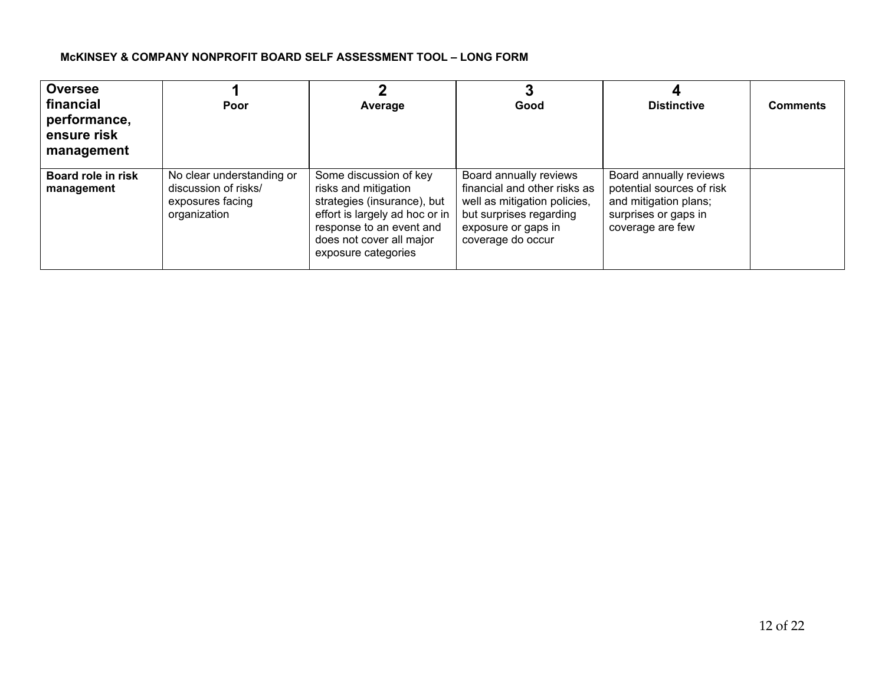| <b>Oversee</b><br>financial<br>performance,<br>ensure risk<br>management | Poor                                                                                  | Average                                                                                                                                                                                        | Good                                                                                                                                                          | <b>Distinctive</b>                                                                                                       | <b>Comments</b> |
|--------------------------------------------------------------------------|---------------------------------------------------------------------------------------|------------------------------------------------------------------------------------------------------------------------------------------------------------------------------------------------|---------------------------------------------------------------------------------------------------------------------------------------------------------------|--------------------------------------------------------------------------------------------------------------------------|-----------------|
| Board role in risk<br>management                                         | No clear understanding or<br>discussion of risks/<br>exposures facing<br>organization | Some discussion of key<br>risks and mitigation<br>strategies (insurance), but<br>effort is largely ad hoc or in<br>response to an event and<br>does not cover all major<br>exposure categories | Board annually reviews<br>financial and other risks as<br>well as mitigation policies,<br>but surprises regarding<br>exposure or gaps in<br>coverage do occur | Board annually reviews<br>potential sources of risk<br>and mitigation plans;<br>surprises or gaps in<br>coverage are few |                 |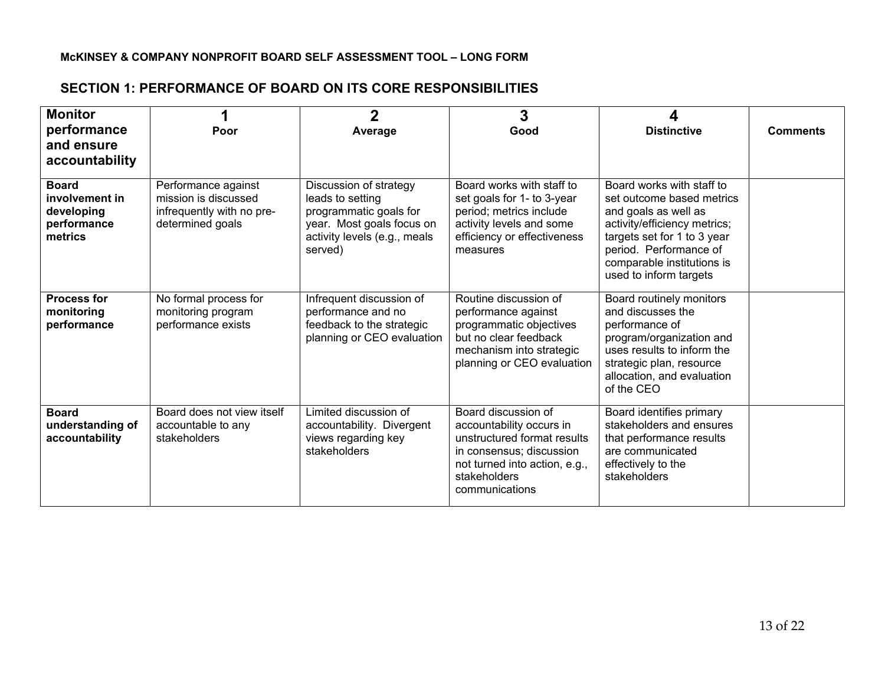| <b>Monitor</b><br>performance<br>and ensure<br>accountability          | Poor                                                                                         | $\mathbf 2$<br>Average                                                                                                                       | 3<br>Good                                                                                                                                                                     | <b>Distinctive</b>                                                                                                                                                                                                              | <b>Comments</b> |
|------------------------------------------------------------------------|----------------------------------------------------------------------------------------------|----------------------------------------------------------------------------------------------------------------------------------------------|-------------------------------------------------------------------------------------------------------------------------------------------------------------------------------|---------------------------------------------------------------------------------------------------------------------------------------------------------------------------------------------------------------------------------|-----------------|
| <b>Board</b><br>involvement in<br>developing<br>performance<br>metrics | Performance against<br>mission is discussed<br>infrequently with no pre-<br>determined goals | Discussion of strategy<br>leads to setting<br>programmatic goals for<br>year. Most goals focus on<br>activity levels (e.g., meals<br>served) | Board works with staff to<br>set goals for 1- to 3-year<br>period; metrics include<br>activity levels and some<br>efficiency or effectiveness<br>measures                     | Board works with staff to<br>set outcome based metrics<br>and goals as well as<br>activity/efficiency metrics;<br>targets set for 1 to 3 year<br>period. Performance of<br>comparable institutions is<br>used to inform targets |                 |
| <b>Process for</b><br>monitoring<br>performance                        | No formal process for<br>monitoring program<br>performance exists                            | Infrequent discussion of<br>performance and no<br>feedback to the strategic<br>planning or CEO evaluation                                    | Routine discussion of<br>performance against<br>programmatic objectives<br>but no clear feedback<br>mechanism into strategic<br>planning or CEO evaluation                    | Board routinely monitors<br>and discusses the<br>performance of<br>program/organization and<br>uses results to inform the<br>strategic plan, resource<br>allocation, and evaluation<br>of the CEO                               |                 |
| <b>Board</b><br>understanding of<br>accountability                     | Board does not view itself<br>accountable to any<br>stakeholders                             | Limited discussion of<br>accountability. Divergent<br>views regarding key<br>stakeholders                                                    | Board discussion of<br>accountability occurs in<br>unstructured format results<br>in consensus; discussion<br>not turned into action, e.g.,<br>stakeholders<br>communications | Board identifies primary<br>stakeholders and ensures<br>that performance results<br>are communicated<br>effectively to the<br>stakeholders                                                                                      |                 |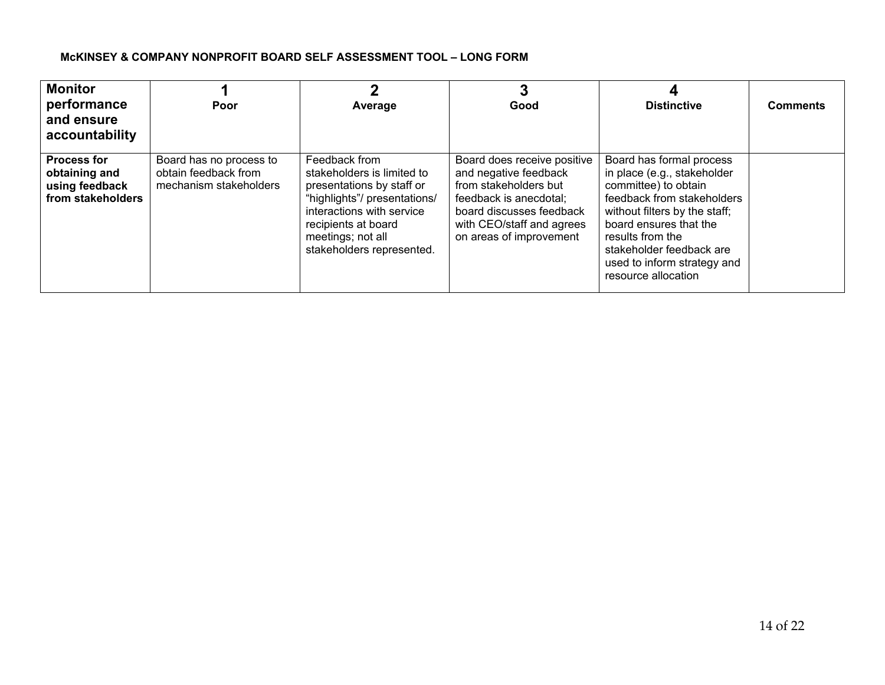| <b>Monitor</b><br>performance<br>and ensure<br>accountability              | Poor                                                                      | Average                                                                                                                                                                                                       | Good                                                                                                                                                                                        | <b>Distinctive</b>                                                                                                                                                                                                                                                             | <b>Comments</b> |
|----------------------------------------------------------------------------|---------------------------------------------------------------------------|---------------------------------------------------------------------------------------------------------------------------------------------------------------------------------------------------------------|---------------------------------------------------------------------------------------------------------------------------------------------------------------------------------------------|--------------------------------------------------------------------------------------------------------------------------------------------------------------------------------------------------------------------------------------------------------------------------------|-----------------|
| <b>Process for</b><br>obtaining and<br>using feedback<br>from stakeholders | Board has no process to<br>obtain feedback from<br>mechanism stakeholders | Feedback from<br>stakeholders is limited to<br>presentations by staff or<br>"highlights"/presentations/<br>interactions with service<br>recipients at board<br>meetings; not all<br>stakeholders represented. | Board does receive positive<br>and negative feedback<br>from stakeholders but<br>feedback is anecdotal;<br>board discusses feedback<br>with CEO/staff and agrees<br>on areas of improvement | Board has formal process<br>in place (e.g., stakeholder<br>committee) to obtain<br>feedback from stakeholders<br>without filters by the staff;<br>board ensures that the<br>results from the<br>stakeholder feedback are<br>used to inform strategy and<br>resource allocation |                 |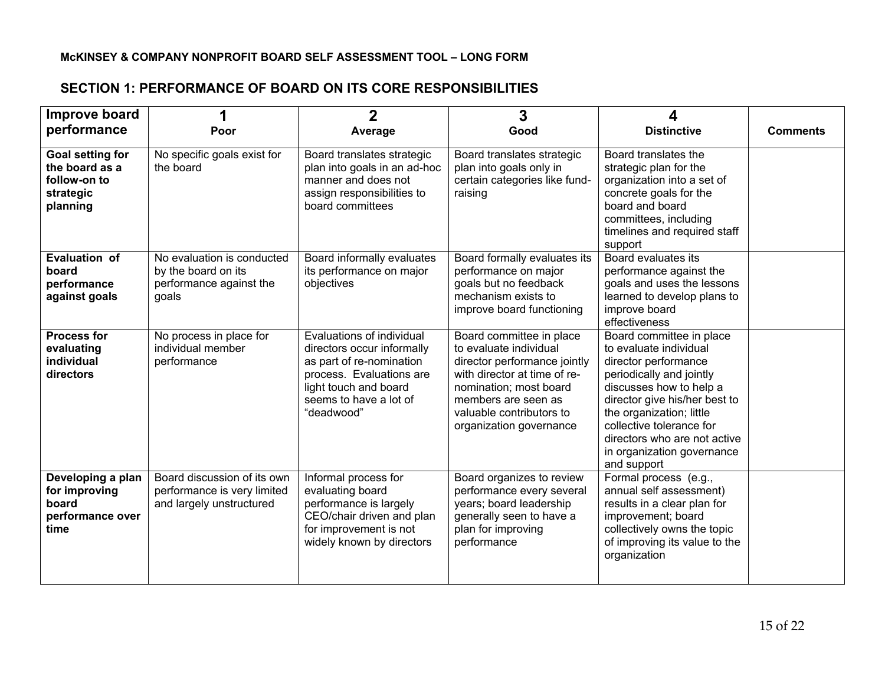| Improve board<br>performance                                                       | Poor                                                                                   | $\overline{2}$<br>Average                                                                                                                                                        | 3<br>Good                                                                                                                                                                                                                  | Δ<br><b>Distinctive</b>                                                                                                                                                                                                                                                                                 | <b>Comments</b> |
|------------------------------------------------------------------------------------|----------------------------------------------------------------------------------------|----------------------------------------------------------------------------------------------------------------------------------------------------------------------------------|----------------------------------------------------------------------------------------------------------------------------------------------------------------------------------------------------------------------------|---------------------------------------------------------------------------------------------------------------------------------------------------------------------------------------------------------------------------------------------------------------------------------------------------------|-----------------|
| <b>Goal setting for</b><br>the board as a<br>follow-on to<br>strategic<br>planning | No specific goals exist for<br>the board                                               | Board translates strategic<br>plan into goals in an ad-hoc<br>manner and does not<br>assign responsibilities to<br>board committees                                              | Board translates strategic<br>plan into goals only in<br>certain categories like fund-<br>raising                                                                                                                          | Board translates the<br>strategic plan for the<br>organization into a set of<br>concrete goals for the<br>board and board<br>committees, including<br>timelines and required staff<br>support                                                                                                           |                 |
| Evaluation of<br>board<br>performance<br>against goals                             | No evaluation is conducted<br>by the board on its<br>performance against the<br>qoals  | Board informally evaluates<br>its performance on major<br>objectives                                                                                                             | Board formally evaluates its<br>performance on major<br>goals but no feedback<br>mechanism exists to<br>improve board functioning                                                                                          | Board evaluates its<br>performance against the<br>goals and uses the lessons<br>learned to develop plans to<br>improve board<br>effectiveness                                                                                                                                                           |                 |
| <b>Process for</b><br>evaluating<br>individual<br>directors                        | No process in place for<br>individual member<br>performance                            | Evaluations of individual<br>directors occur informally<br>as part of re-nomination<br>process. Evaluations are<br>light touch and board<br>seems to have a lot of<br>"deadwood" | Board committee in place<br>to evaluate individual<br>director performance jointly<br>with director at time of re-<br>nomination; most board<br>members are seen as<br>valuable contributors to<br>organization governance | Board committee in place<br>to evaluate individual<br>director performance<br>periodically and jointly<br>discusses how to help a<br>director give his/her best to<br>the organization; little<br>collective tolerance for<br>directors who are not active<br>in organization governance<br>and support |                 |
| Developing a plan<br>for improving<br>board<br>performance over<br>time            | Board discussion of its own<br>performance is very limited<br>and largely unstructured | Informal process for<br>evaluating board<br>performance is largely<br>CEO/chair driven and plan<br>for improvement is not<br>widely known by directors                           | Board organizes to review<br>performance every several<br>years; board leadership<br>generally seen to have a<br>plan for improving<br>performance                                                                         | Formal process (e.g.,<br>annual self assessment)<br>results in a clear plan for<br>improvement; board<br>collectively owns the topic<br>of improving its value to the<br>organization                                                                                                                   |                 |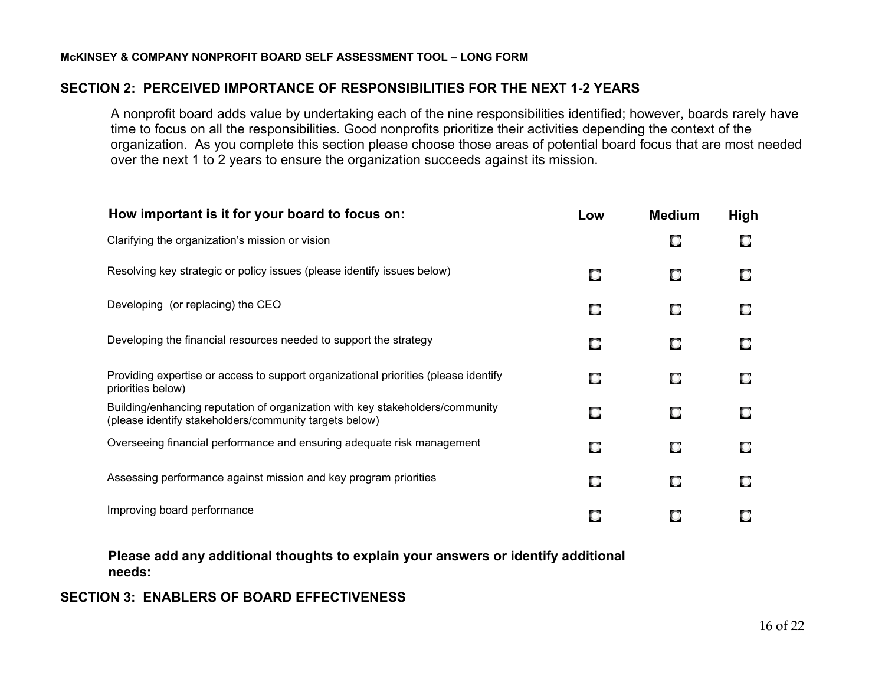## **SECTION 2: PERCEIVED IMPORTANCE OF RESPONSIBILITIES FOR THE NEXT 1-2 YEARS**

A nonprofit board adds value by undertaking each of the nine responsibilities identified; however, boards rarely have time to focus on all the responsibilities. Good nonprofits prioritize their activities depending the context of the organization. As you complete this section please choose those areas of potential board focus that are most needed over the next 1 to 2 years to ensure the organization succeeds against its mission.

| How important is it for your board to focus on:                                                                                         | Low | <b>Medium</b> | <b>High</b> |  |
|-----------------------------------------------------------------------------------------------------------------------------------------|-----|---------------|-------------|--|
| Clarifying the organization's mission or vision                                                                                         |     | О             | О           |  |
| Resolving key strategic or policy issues (please identify issues below)                                                                 | О   | о             | O           |  |
| Developing (or replacing) the CEO                                                                                                       | О   | О             | О           |  |
| Developing the financial resources needed to support the strategy                                                                       | О   | О             | О           |  |
| Providing expertise or access to support organizational priorities (please identify<br>priorities below)                                | О   | О             | O           |  |
| Building/enhancing reputation of organization with key stakeholders/community<br>(please identify stakeholders/community targets below) | О   | О             | О           |  |
| Overseeing financial performance and ensuring adequate risk management                                                                  | О   | О             | О           |  |
| Assessing performance against mission and key program priorities                                                                        | О   | О             | О           |  |
| Improving board performance                                                                                                             | О   | О             | O           |  |

**Please add any additional thoughts to explain your answers or identify additional needs:** 

## **SECTION 3: ENABLERS OF BOARD EFFECTIVENESS**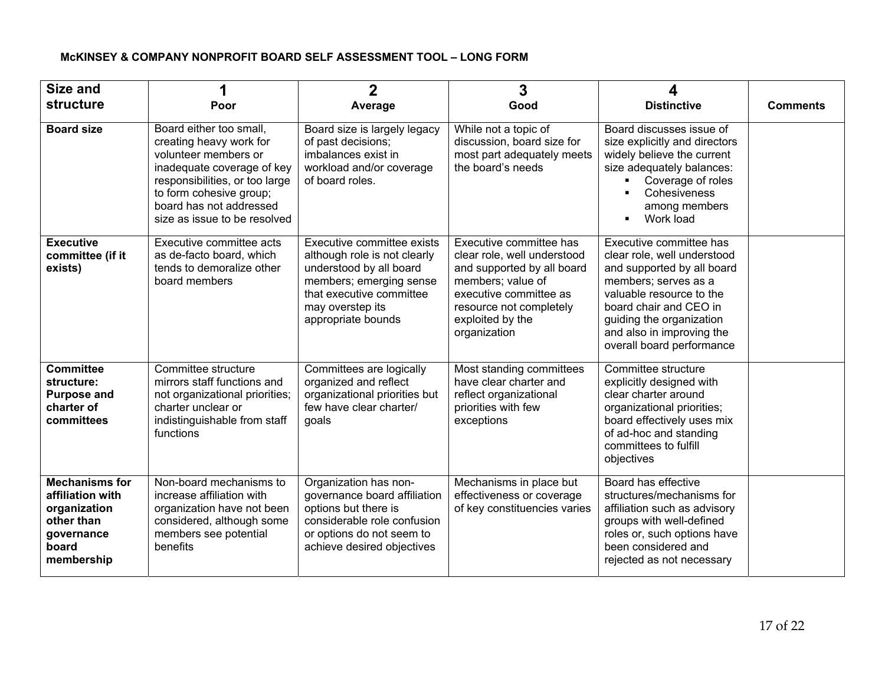| Size and                                                                                                     |                                                                                                                                                                                                                                  | $\overline{2}$                                                                                                                                                                         | 3                                                                                                                                                                                                  | 4                                                                                                                                                                                                                                                        |                 |
|--------------------------------------------------------------------------------------------------------------|----------------------------------------------------------------------------------------------------------------------------------------------------------------------------------------------------------------------------------|----------------------------------------------------------------------------------------------------------------------------------------------------------------------------------------|----------------------------------------------------------------------------------------------------------------------------------------------------------------------------------------------------|----------------------------------------------------------------------------------------------------------------------------------------------------------------------------------------------------------------------------------------------------------|-----------------|
| structure                                                                                                    | Poor                                                                                                                                                                                                                             | Average                                                                                                                                                                                | Good                                                                                                                                                                                               | <b>Distinctive</b>                                                                                                                                                                                                                                       | <b>Comments</b> |
| <b>Board size</b>                                                                                            | Board either too small,<br>creating heavy work for<br>volunteer members or<br>inadequate coverage of key<br>responsibilities, or too large<br>to form cohesive group;<br>board has not addressed<br>size as issue to be resolved | Board size is largely legacy<br>of past decisions;<br>imbalances exist in<br>workload and/or coverage<br>of board roles.                                                               | While not a topic of<br>discussion, board size for<br>most part adequately meets<br>the board's needs                                                                                              | Board discusses issue of<br>size explicitly and directors<br>widely believe the current<br>size adequately balances:<br>Coverage of roles<br>Cohesiveness<br>$\blacksquare$<br>among members<br>Work load<br>$\blacksquare$                              |                 |
| <b>Executive</b><br>committee (if it<br>exists)                                                              | Executive committee acts<br>as de-facto board, which<br>tends to demoralize other<br>board members                                                                                                                               | Executive committee exists<br>although role is not clearly<br>understood by all board<br>members; emerging sense<br>that executive committee<br>may overstep its<br>appropriate bounds | Executive committee has<br>clear role, well understood<br>and supported by all board<br>members; value of<br>executive committee as<br>resource not completely<br>exploited by the<br>organization | Executive committee has<br>clear role, well understood<br>and supported by all board<br>members; serves as a<br>valuable resource to the<br>board chair and CEO in<br>guiding the organization<br>and also in improving the<br>overall board performance |                 |
| <b>Committee</b><br>structure:<br><b>Purpose and</b><br>charter of<br>committees                             | Committee structure<br>mirrors staff functions and<br>not organizational priorities;<br>charter unclear or<br>indistinguishable from staff<br>functions                                                                          | Committees are logically<br>organized and reflect<br>organizational priorities but<br>few have clear charter/<br>goals                                                                 | Most standing committees<br>have clear charter and<br>reflect organizational<br>priorities with few<br>exceptions                                                                                  | Committee structure<br>explicitly designed with<br>clear charter around<br>organizational priorities;<br>board effectively uses mix<br>of ad-hoc and standing<br>committees to fulfill<br>objectives                                                     |                 |
| <b>Mechanisms for</b><br>affiliation with<br>organization<br>other than<br>governance<br>board<br>membership | Non-board mechanisms to<br>increase affiliation with<br>organization have not been<br>considered, although some<br>members see potential<br>benefits                                                                             | Organization has non-<br>governance board affiliation<br>options but there is<br>considerable role confusion<br>or options do not seem to<br>achieve desired objectives                | Mechanisms in place but<br>effectiveness or coverage<br>of key constituencies varies                                                                                                               | Board has effective<br>structures/mechanisms for<br>affiliation such as advisory<br>groups with well-defined<br>roles or, such options have<br>been considered and<br>rejected as not necessary                                                          |                 |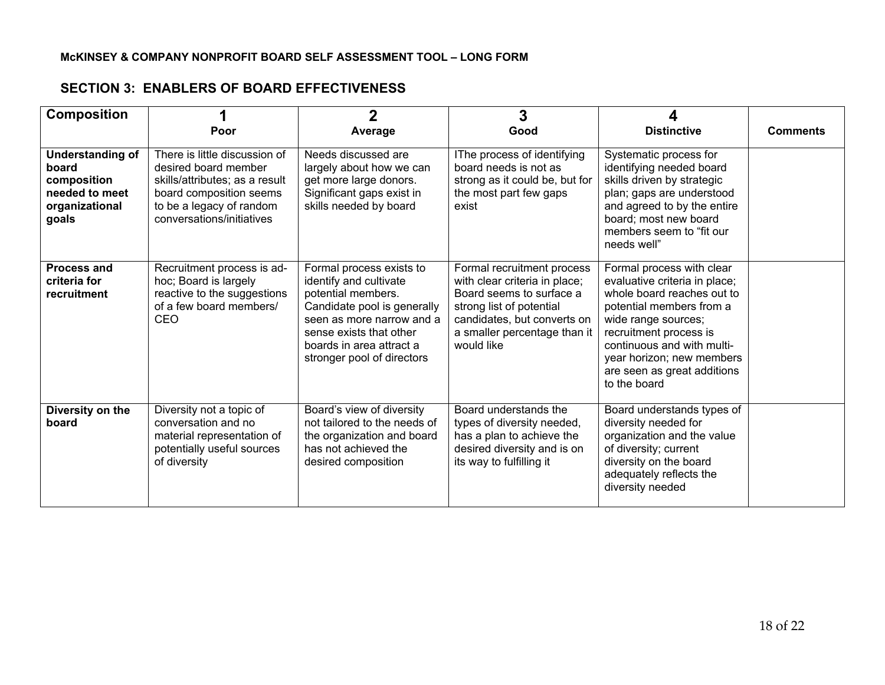#### **SECTION 3: ENABLERS OF BOARD EFFECTIVENESS**

| <b>Composition</b>                                                                           |                                                                                                                                                                             | $\overline{2}$                                                                                                                                                                                                            | 3                                                                                                                                                                                                |                                                                                                                                                                                                                                                                                 |                 |
|----------------------------------------------------------------------------------------------|-----------------------------------------------------------------------------------------------------------------------------------------------------------------------------|---------------------------------------------------------------------------------------------------------------------------------------------------------------------------------------------------------------------------|--------------------------------------------------------------------------------------------------------------------------------------------------------------------------------------------------|---------------------------------------------------------------------------------------------------------------------------------------------------------------------------------------------------------------------------------------------------------------------------------|-----------------|
|                                                                                              | Poor                                                                                                                                                                        | Average                                                                                                                                                                                                                   | Good                                                                                                                                                                                             | <b>Distinctive</b>                                                                                                                                                                                                                                                              | <b>Comments</b> |
| <b>Understanding of</b><br>board<br>composition<br>needed to meet<br>organizational<br>goals | There is little discussion of<br>desired board member<br>skills/attributes; as a result<br>board composition seems<br>to be a legacy of random<br>conversations/initiatives | Needs discussed are<br>largely about how we can<br>get more large donors.<br>Significant gaps exist in<br>skills needed by board                                                                                          | IThe process of identifying<br>board needs is not as<br>strong as it could be, but for<br>the most part few gaps<br>exist                                                                        | Systematic process for<br>identifying needed board<br>skills driven by strategic<br>plan; gaps are understood<br>and agreed to by the entire<br>board; most new board<br>members seem to "fit our<br>needs well"                                                                |                 |
| <b>Process and</b><br>criteria for<br>recruitment                                            | Recruitment process is ad-<br>hoc; Board is largely<br>reactive to the suggestions<br>of a few board members/<br>CEO                                                        | Formal process exists to<br>identify and cultivate<br>potential members.<br>Candidate pool is generally<br>seen as more narrow and a<br>sense exists that other<br>boards in area attract a<br>stronger pool of directors | Formal recruitment process<br>with clear criteria in place;<br>Board seems to surface a<br>strong list of potential<br>candidates, but converts on<br>a smaller percentage than it<br>would like | Formal process with clear<br>evaluative criteria in place;<br>whole board reaches out to<br>potential members from a<br>wide range sources;<br>recruitment process is<br>continuous and with multi-<br>year horizon; new members<br>are seen as great additions<br>to the board |                 |
| Diversity on the<br>board                                                                    | Diversity not a topic of<br>conversation and no<br>material representation of<br>potentially useful sources<br>of diversity                                                 | Board's view of diversity<br>not tailored to the needs of<br>the organization and board<br>has not achieved the<br>desired composition                                                                                    | Board understands the<br>types of diversity needed,<br>has a plan to achieve the<br>desired diversity and is on<br>its way to fulfilling it                                                      | Board understands types of<br>diversity needed for<br>organization and the value<br>of diversity; current<br>diversity on the board<br>adequately reflects the<br>diversity needed                                                                                              |                 |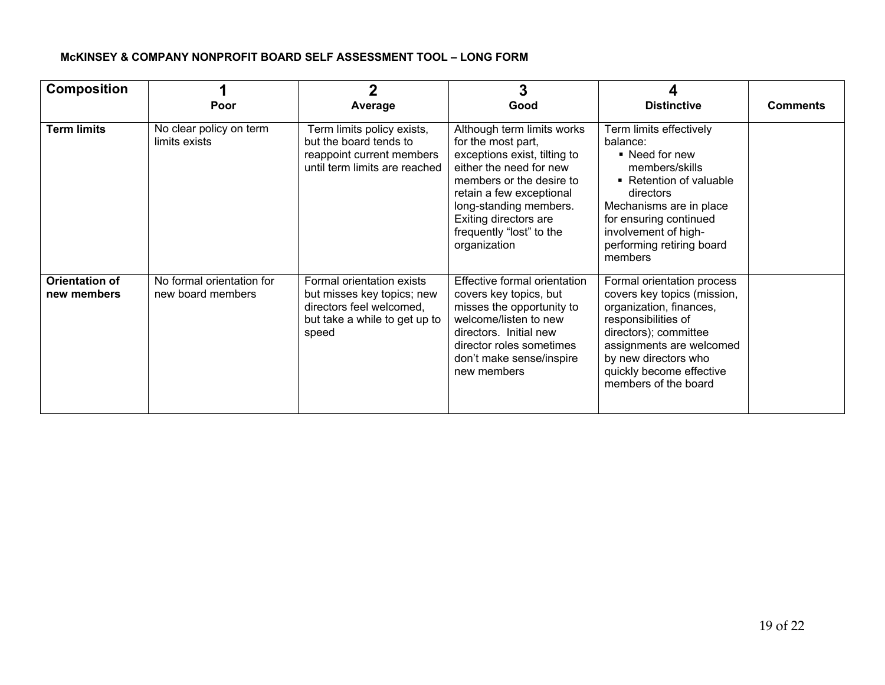| <b>Composition</b>            |                                                | $\mathbf{2}$                                                                                                                  | 3                                                                                                                                                                                                                                                                  |                                                                                                                                                                                                                                              |                 |
|-------------------------------|------------------------------------------------|-------------------------------------------------------------------------------------------------------------------------------|--------------------------------------------------------------------------------------------------------------------------------------------------------------------------------------------------------------------------------------------------------------------|----------------------------------------------------------------------------------------------------------------------------------------------------------------------------------------------------------------------------------------------|-----------------|
|                               | Poor                                           | Average                                                                                                                       | Good                                                                                                                                                                                                                                                               | <b>Distinctive</b>                                                                                                                                                                                                                           | <b>Comments</b> |
| Term limits                   | No clear policy on term<br>limits exists       | Term limits policy exists,<br>but the board tends to<br>reappoint current members<br>until term limits are reached            | Although term limits works<br>for the most part,<br>exceptions exist, tilting to<br>either the need for new<br>members or the desire to<br>retain a few exceptional<br>long-standing members.<br>Exiting directors are<br>frequently "lost" to the<br>organization | Term limits effectively<br>balance:<br>• Need for new<br>members/skills<br>• Retention of valuable<br>directors<br>Mechanisms are in place<br>for ensuring continued<br>involvement of high-<br>performing retiring board<br>members         |                 |
| Orientation of<br>new members | No formal orientation for<br>new board members | Formal orientation exists<br>but misses key topics; new<br>directors feel welcomed,<br>but take a while to get up to<br>speed | Effective formal orientation<br>covers key topics, but<br>misses the opportunity to<br>welcome/listen to new<br>directors. Initial new<br>director roles sometimes<br>don't make sense/inspire<br>new members                                                      | Formal orientation process<br>covers key topics (mission,<br>organization, finances,<br>responsibilities of<br>directors); committee<br>assignments are welcomed<br>by new directors who<br>quickly become effective<br>members of the board |                 |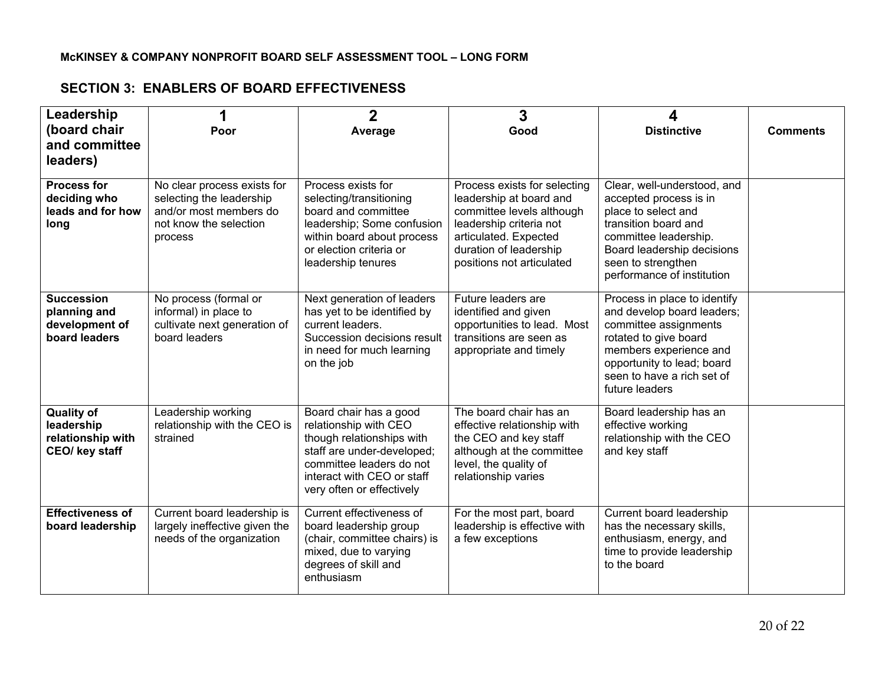## **SECTION 3: ENABLERS OF BOARD EFFECTIVENESS**

| Leadership<br>(board chair<br>and committee<br>leaders)                | 1<br>Poor                                                                                                              | $\overline{2}$<br>Average                                                                                                                                                                         | $\mathbf{3}$<br>Good                                                                                                                                                                            | 4<br><b>Distinctive</b>                                                                                                                                                                                              | <b>Comments</b> |
|------------------------------------------------------------------------|------------------------------------------------------------------------------------------------------------------------|---------------------------------------------------------------------------------------------------------------------------------------------------------------------------------------------------|-------------------------------------------------------------------------------------------------------------------------------------------------------------------------------------------------|----------------------------------------------------------------------------------------------------------------------------------------------------------------------------------------------------------------------|-----------------|
| <b>Process for</b><br>deciding who<br>leads and for how<br>long        | No clear process exists for<br>selecting the leadership<br>and/or most members do<br>not know the selection<br>process | Process exists for<br>selecting/transitioning<br>board and committee<br>leadership; Some confusion<br>within board about process<br>or election criteria or<br>leadership tenures                 | Process exists for selecting<br>leadership at board and<br>committee levels although<br>leadership criteria not<br>articulated. Expected<br>duration of leadership<br>positions not articulated | Clear, well-understood, and<br>accepted process is in<br>place to select and<br>transition board and<br>committee leadership.<br>Board leadership decisions<br>seen to strengthen<br>performance of institution      |                 |
| <b>Succession</b><br>planning and<br>development of<br>board leaders   | No process (formal or<br>informal) in place to<br>cultivate next generation of<br>board leaders                        | Next generation of leaders<br>has yet to be identified by<br>current leaders.<br>Succession decisions result<br>in need for much learning<br>on the job                                           | Future leaders are<br>identified and given<br>opportunities to lead. Most<br>transitions are seen as<br>appropriate and timely                                                                  | Process in place to identify<br>and develop board leaders;<br>committee assignments<br>rotated to give board<br>members experience and<br>opportunity to lead; board<br>seen to have a rich set of<br>future leaders |                 |
| <b>Quality of</b><br>leadership<br>relationship with<br>CEO/ key staff | Leadership working<br>relationship with the CEO is<br>strained                                                         | Board chair has a good<br>relationship with CEO<br>though relationships with<br>staff are under-developed;<br>committee leaders do not<br>interact with CEO or staff<br>very often or effectively | The board chair has an<br>effective relationship with<br>the CEO and key staff<br>although at the committee<br>level, the quality of<br>relationship varies                                     | Board leadership has an<br>effective working<br>relationship with the CEO<br>and key staff                                                                                                                           |                 |
| <b>Effectiveness of</b><br>board leadership                            | Current board leadership is<br>largely ineffective given the<br>needs of the organization                              | Current effectiveness of<br>board leadership group<br>(chair, committee chairs) is<br>mixed, due to varying<br>degrees of skill and<br>enthusiasm                                                 | For the most part, board<br>leadership is effective with<br>a few exceptions                                                                                                                    | Current board leadership<br>has the necessary skills,<br>enthusiasm, energy, and<br>time to provide leadership<br>to the board                                                                                       |                 |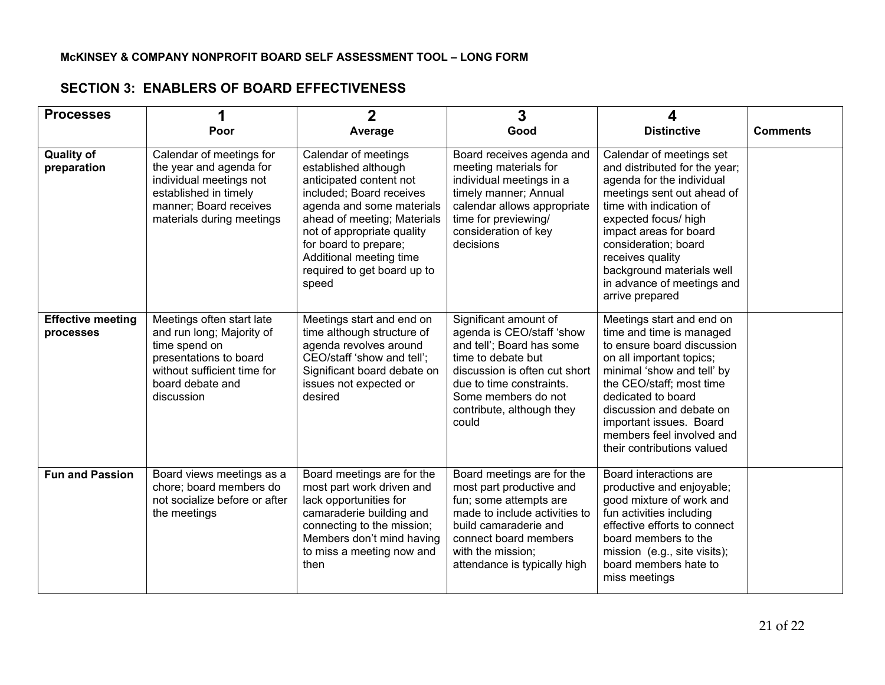#### **SECTION 3: ENABLERS OF BOARD EFFECTIVENESS**

| <b>Processes</b>                      | Poor                                                                                                                                                               | $\overline{2}$<br>Average                                                                                                                                                                                                                                                                 | 3<br>Good                                                                                                                                                                                                                       | 4<br><b>Distinctive</b>                                                                                                                                                                                                                                                                                                     | <b>Comments</b> |
|---------------------------------------|--------------------------------------------------------------------------------------------------------------------------------------------------------------------|-------------------------------------------------------------------------------------------------------------------------------------------------------------------------------------------------------------------------------------------------------------------------------------------|---------------------------------------------------------------------------------------------------------------------------------------------------------------------------------------------------------------------------------|-----------------------------------------------------------------------------------------------------------------------------------------------------------------------------------------------------------------------------------------------------------------------------------------------------------------------------|-----------------|
| <b>Quality of</b><br>preparation      | Calendar of meetings for<br>the year and agenda for<br>individual meetings not<br>established in timely<br>manner; Board receives<br>materials during meetings     | Calendar of meetings<br>established although<br>anticipated content not<br>included; Board receives<br>agenda and some materials<br>ahead of meeting; Materials<br>not of appropriate quality<br>for board to prepare;<br>Additional meeting time<br>required to get board up to<br>speed | Board receives agenda and<br>meeting materials for<br>individual meetings in a<br>timely manner; Annual<br>calendar allows appropriate<br>time for previewing/<br>consideration of key<br>decisions                             | Calendar of meetings set<br>and distributed for the year;<br>agenda for the individual<br>meetings sent out ahead of<br>time with indication of<br>expected focus/ high<br>impact areas for board<br>consideration; board<br>receives quality<br>background materials well<br>in advance of meetings and<br>arrive prepared |                 |
| <b>Effective meeting</b><br>processes | Meetings often start late<br>and run long; Majority of<br>time spend on<br>presentations to board<br>without sufficient time for<br>board debate and<br>discussion | Meetings start and end on<br>time although structure of<br>agenda revolves around<br>CEO/staff 'show and tell';<br>Significant board debate on<br>issues not expected or<br>desired                                                                                                       | Significant amount of<br>agenda is CEO/staff 'show<br>and tell'; Board has some<br>time to debate but<br>discussion is often cut short<br>due to time constraints.<br>Some members do not<br>contribute, although they<br>could | Meetings start and end on<br>time and time is managed<br>to ensure board discussion<br>on all important topics;<br>minimal 'show and tell' by<br>the CEO/staff; most time<br>dedicated to board<br>discussion and debate on<br>important issues. Board<br>members feel involved and<br>their contributions valued           |                 |
| <b>Fun and Passion</b>                | Board views meetings as a<br>chore; board members do<br>not socialize before or after<br>the meetings                                                              | Board meetings are for the<br>most part work driven and<br>lack opportunities for<br>camaraderie building and<br>connecting to the mission;<br>Members don't mind having<br>to miss a meeting now and<br>then                                                                             | Board meetings are for the<br>most part productive and<br>fun; some attempts are<br>made to include activities to<br>build camaraderie and<br>connect board members<br>with the mission;<br>attendance is typically high        | Board interactions are<br>productive and enjoyable;<br>good mixture of work and<br>fun activities including<br>effective efforts to connect<br>board members to the<br>mission (e.g., site visits);<br>board members hate to<br>miss meetings                                                                               |                 |